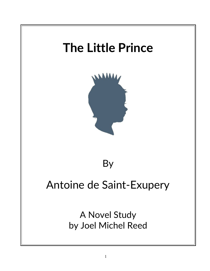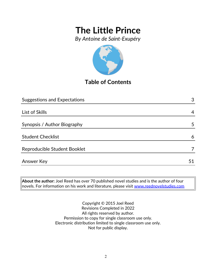*By Antoine de Saint-Exupéry*



## **Table of Contents**

| <b>Suggestions and Expectations</b> | 3  |
|-------------------------------------|----|
|                                     |    |
| List of Skills                      | 4  |
|                                     |    |
| Synopsis / Author Biography         | 5  |
|                                     |    |
| <b>Student Checklist</b>            | 6  |
| Reproducible Student Booklet        | 7  |
|                                     |    |
| <b>Answer Key</b>                   | 51 |

**About the author:** Joel Reed has over 70 published novel studies and is the author of four  $\vert$ novels. For information on his work and literature, please visit  $\overline{\text{www.reednovelstudies.com}}$ 

> Copyright © 2015 Joel Reed Revisions Completed in 2022 All rights reserved by author. Permission to copy for single classroom use only. Electronic distribution limited to single classroom use only. Not for public display.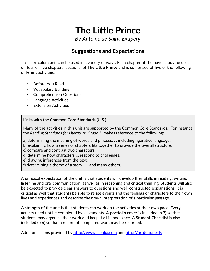*By Antoine de Saint-Exupéry*

## **Suggestions and Expectations**

This curriculum unit can be used in a variety of ways. Each chapter of the novel study focuses on four or five chapters (sections) of **The Little Prince** and is comprised of five of the following different activities:

- Before You Read
- Vocabulary Building
- Comprehension Questions
- Language Activities
- **Extension Activities**

### **Links with the Common Core Standards (U.S.)**

Many of the activities in this unit are supported by the Common Core Standards. For instance the *Reading Standards for Literature, Grade 5*, makes reference to the following:

a) determining the meaning of words and phrases. . . including figurative language;

b) explaining how a series of chapters fits together to provide the overall structure;

c) compare and contrast two characters;

d) determine how characters … respond to challenges;

e) drawing inferences from the text;

f) determining a theme of a story . . . **and many others.**

A principal expectation of the unit is that students will develop their skills in reading, writing, listening and oral communication, as well as in reasoning and critical thinking. Students will also be expected to provide clear answers to questions and well-constructed explanations. It is critical as well that students be able to relate events and the feelings of characters to their own lives and experiences and describe their own interpretation of a particular passage.

A strength of the unit is that students can work on the activities at their own pace. Every activity need not be completed by all students. A **portfolio cover** is included (p.7) so that students may organize their work and keep it all in one place. A **Student Checklist** is also included (p.6) so that a record of completed work may be recorded.

Additional icons provided by [http://www.iconka.com](http://www.iconka.com/) and http://artdesigner.ly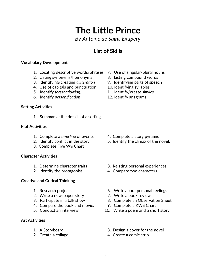*By Antoine de Saint-Exupéry*

## **List of Skills**

### **Vocabulary Development**

- 1. Locating descriptive words/phrases 7. Use of singular/plural nouns
- 2. Listing synonyms/homonyms 8. Listing compound words
- 3. Identifying/creating *alliteration* 9. Identifying parts of speech
- 4. Use of capitals and punctuation 10. Identifying syllables
- 5. Identify *foreshadowing*. 11. Identify/create *similes*
- 6. Identify *personification* 12. Identify anagrams

### **Setting Activities**

1. Summarize the details of a setting

### **Plot Activities**

- 1. Complete a *time line* of events 4. Complete a story pyramid
- 
- 3. Complete Five W's Chart

### **Character Activities**

- 
- 

### **Creative and Critical Thinking**

- 
- 2. Write a newspaper story **7. Write a book review**
- 
- 4. Compare the book and movie. 9. Complete a KWS Chart
- 

### **Art Activities**

- 
- 
- 
- 
- 
- 
- 
- 

- 
- 2. Identify conflict in the story 5. Identify the climax of the novel.
- 1. Determine character traits 3. Relating personal experiences
- 2. Identify the protagonist 4. Compare two characters
- 1. Research projects 6. Write about personal feelings
	-
- 3. Participate in a talk show 8. Complete an Observation Sheet
	-
- 5. Conduct an interview. 10. Write a poem and a short story
- 1. A Storyboard 3. Design a cover for the novel
- 2. Create a collage 4. Create a comic strip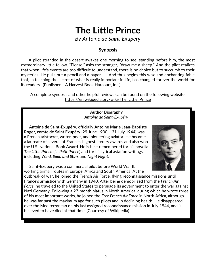*By Antoine de Saint-Exupéry*

### **Synopsis**

 A pilot stranded in the desert awakes one morning to see, standing before him, the most extraordinary little fellow. "Please," asks the stranger, "draw me a sheep." And the pilot realizes that when life's events are too difficult to understand, there is no choice but to succumb to their mysteries. He pulls out a pencil and a paper . . . And thus begins this wise and enchanting fable that, in teaching the secret of what is really important in life, has changed forever the world for its readers. (Publisher – A Harvest Book Harcourt, Inc.)

A complete synopsis and other helpful reviews can be found on the following website: https://en.wikipedia.org/wiki/The\_Little\_Prince

> **Author Biography** *Antoine de Saint-Exupéry*

 **Antoine de Saint-Exupéry**, officially **Antoine Marie Jean-Baptiste Roger, comte de Saint Exupéry** (29 June 1900 – 31 July 1944) was a French aristocrat, writer, poet, and pioneering aviator. He became a laureate of several of France's highest literary awards and also won the U.S. National Book Award. He is best remembered for his novella *The Little Prince* (*Le Petit Prince*) and for his lyrical aviation writings, including *Wind, Sand and Stars* and *Night Flight*.



 Saint-Exupéry was a commercial pilot before World War II, working airmail routes in Europe, Africa and South America. At the

outbreak of war, he joined the French Air Force, flying reconnaissance missions until France's armistice with Germany in 1940. After being demobilized from the *French Air Force*, he traveled to the United States to persuade its government to enter the war against Nazi Germany. Following a 27-month hiatus in North America, during which he wrote three of his most important works, he joined the *Free French Air Force* in North Africa, although he was far past the maximum age for such pilots and in declining health. He disappeared over the Mediterranean on his last assigned reconnaissance mission in July 1944, and is believed to have died at that time. (Courtesy of Wikipedia)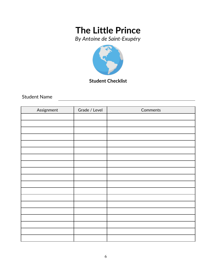*By Antoine de Saint-Exupéry*



**Student Checklist**

Student Name

| Assignment | Grade / Level | Comments |
|------------|---------------|----------|
|            |               |          |
|            |               |          |
|            |               |          |
|            |               |          |
|            |               |          |
|            |               |          |
|            |               |          |
|            |               |          |
|            |               |          |
|            |               |          |
|            |               |          |
|            |               |          |
|            |               |          |
|            |               |          |
|            |               |          |
|            |               |          |
|            |               |          |
|            |               |          |
|            |               |          |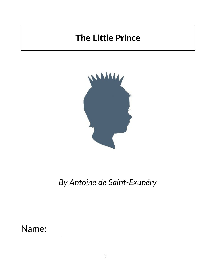

*By Antoine de Saint-Exupéry*

Name: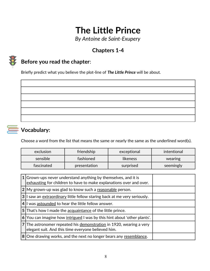*By Antoine de Saint-Exupery*

# **Chapters 1***-***4**



## **Before you read the chapter**:

Briefly predict what you believe the plot-line of *The Little Prince* will be about.

## **Vocabulary:**

Choose a word from the list that means the same or nearly the same as the underlined word(s).

| exclusion  | friendship   | exceptional | intentional |
|------------|--------------|-------------|-------------|
| sensible   | fashioned    | likeness    | wearing     |
| fascinated | presentation | surprised   | seemingly   |

|                | $1$ Grown-ups never understand anything by themselves, and it is<br>exhausting for children to have to make explanations over and over. |
|----------------|-----------------------------------------------------------------------------------------------------------------------------------------|
|                | 2 My grown-up was glad to know such a reasonable person.                                                                                |
| 3 <sup>1</sup> | I saw an extraordinary little fellow staring back at me very seriously.                                                                 |
|                | 4 I was astounded to hear the little fellow answer.                                                                                     |
|                | 5 That's how I made the acquaintance of the little prince.                                                                              |
| 6 <sup>1</sup> | You can imagine how intrigued I was by this hint about 'other plants'.                                                                  |
|                | 7 The astronomer repeated his demonstration in 1920, wearing a very<br>elegant suit. And this time everyone believed him.               |
|                | 8 One drawing works, and the next no longer bears any resemblance.                                                                      |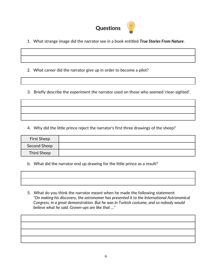

1. What strange image did the narrator see in a book entitled *True Stories From Nature*.

2. What career did the narrator give up in order to become a pilot?

3. Briefly describe the experiment the narrator used on those who seemed 'clear-sighted'.

4. Why did the little prince reject the narrator's first three drawings of the sheep?

| <b>First Sheep</b> |  |
|--------------------|--|
| Second Sheep       |  |
| Third Sheep        |  |

b. What did the narrator end up drawing for the little prince as a result?

 5. What do you think the narrator meant when he made the following statement: *"On making his discovery, the astronomer has presented it to the International Astronomical Congress, in a great demonstration. But he was in Turkish costume, and so nobody would believe what he said. Grown-ups are like that ..."*

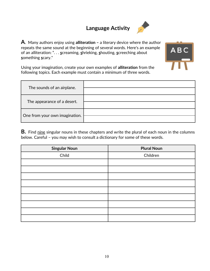# **Language Activity**



**A**. Many authors enjoy using **alliteration –** a literary device where the author repeats the same sound at the beginning of several words. Here's an example of an alliteration: ". . . **s**creaming, **s**hrieking, **s**houting, **s**creeching about **s**omething **s**cary."



Using your imagination, create your own examples of **alliteration** from the following topics. Each example must contain a minimum of three words.

| The sounds of an airplane.     |  |
|--------------------------------|--|
| The appearance of a desert.    |  |
| One from your own imagination. |  |

**B.** Find nine singular nouns in these chapters and write the plural of each noun in the columns below. Careful – you may wish to consult a dictionary for some of these words.

| <b>Singular Noun</b> | <b>Plural Noun</b> |
|----------------------|--------------------|
| Child                | Children           |
|                      |                    |
|                      |                    |
|                      |                    |
|                      |                    |
|                      |                    |
|                      |                    |
|                      |                    |
|                      |                    |
|                      |                    |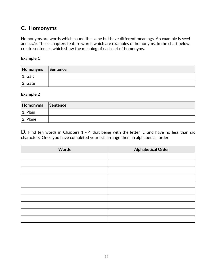## **C. Homonyms**

Homonyms are words which sound the same but have different meanings. An example is *seed* and *cede*. These chapters feature words which are examples of homonyms. In the chart below, create sentences which show the meaning of each set of homonyms.

#### **Example 1**

| Homonyms Sentence |  |
|-------------------|--|
| $ 1.$ Gait        |  |
| $ 2.$ Gate        |  |

#### **Example 2**

| Homonyms Sentence |  |
|-------------------|--|
| 1. Plain          |  |
| $ 2.$ Plane       |  |

**D.** Find ten words in Chapters 1 - 4 that being with the letter 'L' and have no less than six characters. Once you have completed your list, arrange them in alphabetical order.

| <b>Words</b> | <b>Alphabetical Order</b> |
|--------------|---------------------------|
|              |                           |
|              |                           |
|              |                           |
|              |                           |
|              |                           |
|              |                           |
|              |                           |
|              |                           |
|              |                           |
|              |                           |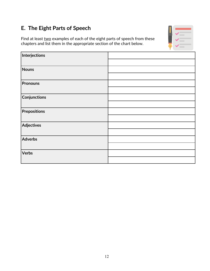## **E. The Eight Parts of Speech**

Find at least two examples of each of the eight parts of speech from these chapters and list them in the appropriate section of the chart below.



| Interjections       |  |
|---------------------|--|
|                     |  |
| <b>Nouns</b>        |  |
|                     |  |
| <b>Pronouns</b>     |  |
|                     |  |
| Conjunctions        |  |
|                     |  |
| <b>Prepositions</b> |  |
|                     |  |
| <b>Adjectives</b>   |  |
|                     |  |
| Adverbs             |  |
|                     |  |
| Verbs               |  |
|                     |  |